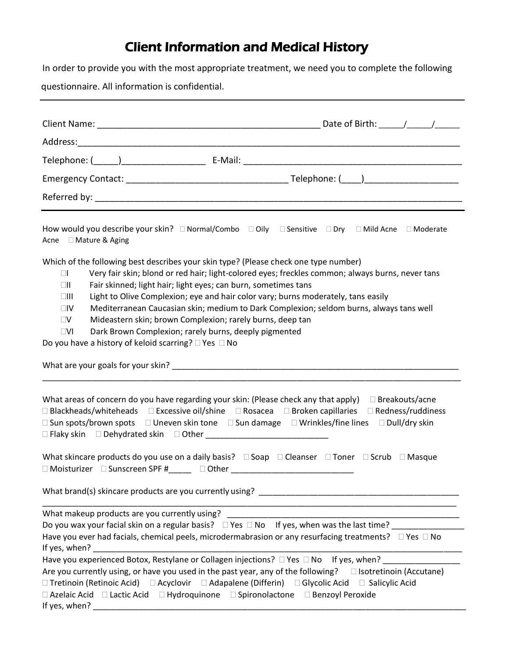## Client Information and Medical History

In order to provide you with the most appropriate treatment, we need you to complete the following

questionnaire. All information is confidential.

| How would you describe your skin? □ Normal/Combo □ Oily □ Sensitive □ Dry □ Mild Acne □ Moderate<br>Acne □ Mature & Aging                                                                                                                                                                                                                                                                                                                                                                                                                                                                                                                                                                                                                                                                                                                                                                                                        |                       |
|----------------------------------------------------------------------------------------------------------------------------------------------------------------------------------------------------------------------------------------------------------------------------------------------------------------------------------------------------------------------------------------------------------------------------------------------------------------------------------------------------------------------------------------------------------------------------------------------------------------------------------------------------------------------------------------------------------------------------------------------------------------------------------------------------------------------------------------------------------------------------------------------------------------------------------|-----------------------|
| Which of the following best describes your skin type? (Please check one type number)<br>Very fair skin; blond or red hair; light-colored eyes; freckles common; always burns, never tans<br>$\Box$<br>$\Box \Pi$<br>Fair skinned; light hair; light eyes; can burn, sometimes tans<br>Light to Olive Complexion; eye and hair color vary; burns moderately, tans easily<br>$\square$<br>Mediterranean Caucasian skin; medium to Dark Complexion; seldom burns, always tans well<br>$\square V$<br>Mideastern skin; brown Complexion; rarely burns, deep tan<br>$\square$ V<br>$\square$<br>Dark Brown Complexion; rarely burns, deeply pigmented<br>Do you have a history of keloid scarring? $\Box$ Yes $\Box$ No                                                                                                                                                                                                               |                       |
| What areas of concern do you have regarding your skin: (Please check any that apply)<br>$\Box$ Blackheads/whiteheads $\Box$ Excessive oil/shine $\Box$ Rosacea $\Box$ Broken capillaries $\Box$ Redness/ruddiness<br>□ Sun spots/brown spots  □ Uneven skin tone  □ Sun damage  □ Wrinkles/fine lines  □ Dull/dry skin<br>What skincare products do you use on a daily basis? □ Soap □ Cleanser □ Toner □ Scrub □ Masque<br>□ Moisturizer □ Sunscreen SPF #_____ □ Other __________________________________                                                                                                                                                                                                                                                                                                                                                                                                                      | $\Box$ Breakouts/acne |
| What brand(s) skincare products are you currently using? _______________________                                                                                                                                                                                                                                                                                                                                                                                                                                                                                                                                                                                                                                                                                                                                                                                                                                                 |                       |
| What makeup products are you currently using?<br>Do you wax your facial skin on a regular basis? □ Yes □ No If yes, when was the last time? ________<br>Have you ever had facials, chemical peels, microdermabrasion or any resurfacing treatments? $\Box$ Yes $\Box$ No<br>If yes, when? _<br>Have you experienced Botox, Restylane or Collagen injections? □ Yes □ No If yes, when?<br>Are you currently using, or have you used in the past year, any of the following? $\Box$ Isotretinoin (Accutane)<br>□ Tretinoin (Retinoic Acid) □ Acyclovir □ Adapalene (Differin) □ Glycolic Acid □ Salicylic Acid<br>□ Azelaic Acid □ Lactic Acid □ Hydroquinone □ Spironolactone □ Benzoyl Peroxide<br>If yes, when? The contract of the contract of the contract of the contract of the contract of the contract of the contract of the contract of the contract of the contract of the contract of the contract of the contract of |                       |